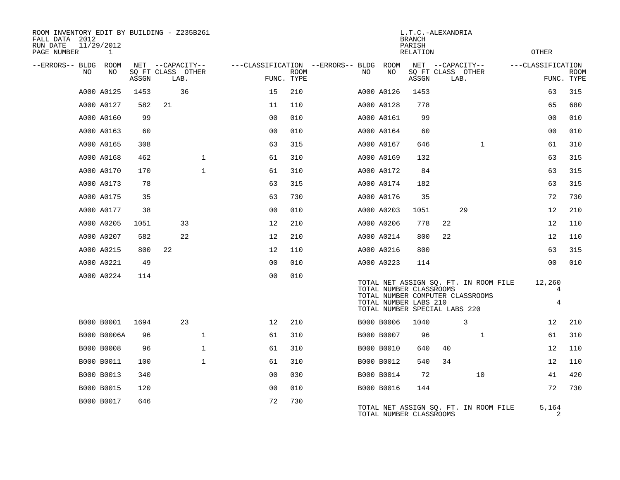| ROOM INVENTORY EDIT BY BUILDING - Z235B261<br>FALL DATA 2012<br>RUN DATE<br>PAGE NUMBER | 11/29/2012<br>1 |       |                           |              |                |             |                                   |                                                                                   | L.T.C.-ALEXANDRIA<br><b>BRANCH</b><br>PARISH<br>RELATION |    |                                                                           |                   | OTHER            |             |
|-----------------------------------------------------------------------------------------|-----------------|-------|---------------------------|--------------|----------------|-------------|-----------------------------------|-----------------------------------------------------------------------------------|----------------------------------------------------------|----|---------------------------------------------------------------------------|-------------------|------------------|-------------|
| --ERRORS-- BLDG ROOM                                                                    |                 |       | NET --CAPACITY--          |              |                |             | ---CLASSIFICATION --ERRORS-- BLDG | ROOM                                                                              |                                                          |    | NET --CAPACITY--                                                          | ---CLASSIFICATION |                  |             |
| NO.                                                                                     | NO              | ASSGN | SO FT CLASS OTHER<br>LAB. |              | FUNC. TYPE     | <b>ROOM</b> | NO.                               | NO                                                                                | ASSGN                                                    |    | SQ FT CLASS OTHER<br>LAB.                                                 |                   | FUNC. TYPE       | <b>ROOM</b> |
|                                                                                         | A000 A0125      | 1453  | 36                        |              | 15             | 210         |                                   | A000 A0126                                                                        | 1453                                                     |    |                                                                           |                   | 63               | 315         |
|                                                                                         | A000 A0127      | 582   | 21                        |              | 11             | 110         |                                   | A000 A0128                                                                        | 778                                                      |    |                                                                           |                   | 65               | 680         |
|                                                                                         | A000 A0160      | 99    |                           |              | 0 <sub>0</sub> | 010         |                                   | A000 A0161                                                                        | 99                                                       |    |                                                                           |                   | 0 <sub>0</sub>   | 010         |
|                                                                                         | A000 A0163      | 60    |                           |              | 0 <sub>0</sub> | 010         |                                   | A000 A0164                                                                        | 60                                                       |    |                                                                           |                   | 0 <sub>0</sub>   | 010         |
|                                                                                         | A000 A0165      | 308   |                           |              | 63             | 315         |                                   | A000 A0167                                                                        | 646                                                      |    | $\mathbf{1}$                                                              |                   | 61               | 310         |
|                                                                                         | A000 A0168      | 462   |                           | $\mathbf{1}$ | 61             | 310         |                                   | A000 A0169                                                                        | 132                                                      |    |                                                                           |                   | 63               | 315         |
|                                                                                         | A000 A0170      | 170   |                           | $\mathbf{1}$ | 61             | 310         |                                   | A000 A0172                                                                        | 84                                                       |    |                                                                           |                   | 63               | 315         |
|                                                                                         | A000 A0173      | 78    |                           |              | 63             | 315         |                                   | A000 A0174                                                                        | 182                                                      |    |                                                                           |                   | 63               | 315         |
|                                                                                         | A000 A0175      | 35    |                           |              | 63             | 730         |                                   | A000 A0176                                                                        | 35                                                       |    |                                                                           |                   | 72               | 730         |
|                                                                                         | A000 A0177      | 38    |                           |              | 0 <sub>0</sub> | 010         |                                   | A000 A0203                                                                        | 1051                                                     |    | 29                                                                        |                   | 12               | 210         |
|                                                                                         | A000 A0205      | 1051  | 33                        |              | 12             | 210         |                                   | A000 A0206                                                                        | 778                                                      | 22 |                                                                           |                   | 12               | 110         |
|                                                                                         | A000 A0207      | 582   | 22                        |              | 12             | 210         |                                   | A000 A0214                                                                        | 800                                                      | 22 |                                                                           |                   | 12               | 110         |
|                                                                                         | A000 A0215      | 800   | 22                        |              | 12             | 110         |                                   | A000 A0216                                                                        | 800                                                      |    |                                                                           |                   | 63               | 315         |
|                                                                                         | A000 A0221      | 49    |                           |              | 0 <sub>0</sub> | 010         |                                   | A000 A0223                                                                        | 114                                                      |    |                                                                           |                   | 0 <sub>0</sub>   | 010         |
|                                                                                         | A000 A0224      | 114   |                           |              | 0 <sub>0</sub> | 010         |                                   | TOTAL NUMBER CLASSROOMS<br>TOTAL NUMBER LABS 210<br>TOTAL NUMBER SPECIAL LABS 220 |                                                          |    | TOTAL NET ASSIGN SQ. FT. IN ROOM FILE<br>TOTAL NUMBER COMPUTER CLASSROOMS |                   | 12,260<br>4<br>4 |             |
|                                                                                         | B000 B0001      | 1694  | 23                        |              | 12             | 210         |                                   | B000 B0006                                                                        | 1040                                                     |    | 3                                                                         |                   | 12               | 210         |
|                                                                                         | B000 B0006A     | 96    |                           | $\mathbf{1}$ | 61             | 310         |                                   | B000 B0007                                                                        | 96                                                       |    | $\mathbf{1}$                                                              |                   | 61               | 310         |
|                                                                                         | B000 B0008      | 96    |                           | $\mathbf{1}$ | 61             | 310         |                                   | B000 B0010                                                                        | 640                                                      | 40 |                                                                           |                   | 12               | 110         |
|                                                                                         | B000 B0011      | 100   |                           | $\mathbf{1}$ | 61             | 310         |                                   | B000 B0012                                                                        | 540                                                      | 34 |                                                                           |                   | 12               | 110         |
|                                                                                         | B000 B0013      | 340   |                           |              | 0 <sub>0</sub> | 030         |                                   | B000 B0014                                                                        | 72                                                       |    | 10                                                                        |                   | 41               | 420         |
|                                                                                         | B000 B0015      | 120   |                           |              | 0 <sub>0</sub> | 010         |                                   | B000 B0016                                                                        | 144                                                      |    |                                                                           |                   | 72               | 730         |
|                                                                                         | B000 B0017      | 646   |                           |              | 72             | 730         |                                   | TOTAL NUMBER CLASSROOMS                                                           |                                                          |    | TOTAL NET ASSIGN SQ. FT. IN ROOM FILE                                     |                   | 5,164<br>2       |             |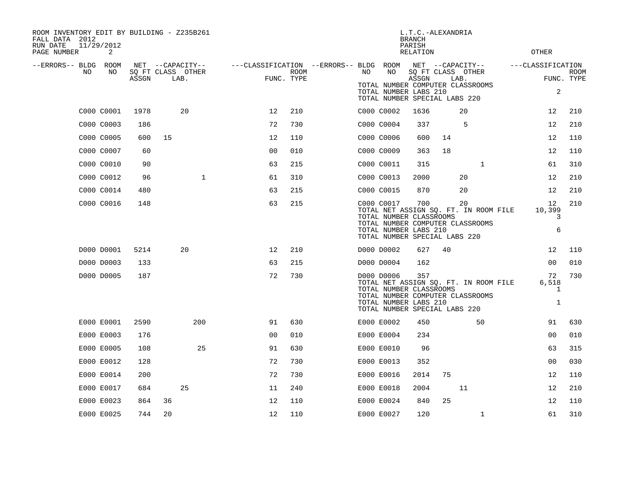| ROOM INVENTORY EDIT BY BUILDING - Z235B261<br>FALL DATA 2012<br>11/29/2012<br>RUN DATE<br>PAGE NUMBER | 2  |       |                                               |                                        |                           |    |                                                                                                 | <b>BRANCH</b><br>PARISH<br><b>RELATION</b> | L.T.C.-ALEXANDRIA |                                                                                 | <b>OTHER</b>                     |                    |
|-------------------------------------------------------------------------------------------------------|----|-------|-----------------------------------------------|----------------------------------------|---------------------------|----|-------------------------------------------------------------------------------------------------|--------------------------------------------|-------------------|---------------------------------------------------------------------------------|----------------------------------|--------------------|
| --ERRORS-- BLDG ROOM<br>NO                                                                            | NO | ASSGN | NET --CAPACITY--<br>SQ FT CLASS OTHER<br>LAB. | ---CLASSIFICATION --ERRORS-- BLDG ROOM | <b>ROOM</b><br>FUNC. TYPE | NO | NO<br>TOTAL NUMBER LABS 210<br>TOTAL NUMBER SPECIAL LABS 220                                    | ASSGN                                      | LAB.              | NET --CAPACITY--<br>SQ FT CLASS OTHER<br>TOTAL NUMBER COMPUTER CLASSROOMS       | ---CLASSIFICATION<br>2           | ROOM<br>FUNC. TYPE |
| C000 C0001                                                                                            |    | 1978  | 20                                            | 12                                     | 210                       |    | C000 C0002                                                                                      | 1636                                       |                   | 20                                                                              | 12                               | 210                |
| C000 C0003                                                                                            |    | 186   |                                               | 72                                     | 730                       |    | C000 C0004                                                                                      | 337                                        |                   | 5                                                                               | 12                               | 210                |
| C000 C0005                                                                                            |    | 600   | 15                                            | 12                                     | 110                       |    | C000 C0006                                                                                      | 600                                        | 14                |                                                                                 | 12                               | 110                |
| C000 C0007                                                                                            |    | 60    |                                               | 0 <sub>0</sub>                         | 010                       |    | C000 C0009                                                                                      | 363                                        | 18                |                                                                                 | 12                               | 110                |
| C000 C0010                                                                                            |    | 90    |                                               | 63                                     | 215                       |    | C000 C0011                                                                                      | 315                                        |                   | 1                                                                               | 61                               | 310                |
| C000 C0012                                                                                            |    | 96    | $\mathbf{1}$                                  | 61                                     | 310                       |    | C000 C0013                                                                                      | 2000                                       |                   | 20                                                                              | 12                               | 210                |
| C000 C0014                                                                                            |    | 480   |                                               | 63                                     | 215                       |    | C000 C0015                                                                                      | 870                                        |                   | 20                                                                              | 12                               | 210                |
| C000 C0016                                                                                            |    | 148   |                                               | 63                                     | 215                       |    | C000 C0017<br>TOTAL NUMBER CLASSROOMS<br>TOTAL NUMBER LABS 210<br>TOTAL NUMBER SPECIAL LABS 220 | 700                                        |                   | 20<br>TOTAL NET ASSIGN SQ. FT. IN ROOM FILE<br>TOTAL NUMBER COMPUTER CLASSROOMS | 12<br>10,399<br>3<br>6           | 210                |
| D000 D0001                                                                                            |    | 5214  | 20                                            | 12                                     | 210                       |    | D000 D0002                                                                                      | 627                                        | 40                |                                                                                 | 12                               | 110                |
| D000 D0003                                                                                            |    | 133   |                                               | 63                                     | 215                       |    | D000 D0004                                                                                      | 162                                        |                   |                                                                                 | 0 <sub>0</sub>                   | 010                |
| D000 D0005                                                                                            |    | 187   |                                               | 72                                     | 730                       |    | D000 D0006<br>TOTAL NUMBER CLASSROOMS<br>TOTAL NUMBER LABS 210<br>TOTAL NUMBER SPECIAL LABS 220 | 357                                        |                   | TOTAL NET ASSIGN SQ. FT. IN ROOM FILE<br>TOTAL NUMBER COMPUTER CLASSROOMS       | 72<br>6,518<br>1<br>$\mathbf{1}$ | 730                |
| E000 E0001                                                                                            |    | 2590  | 200                                           | 91                                     | 630                       |    | E000 E0002                                                                                      | 450                                        |                   | 50                                                                              | 91                               | 630                |
| E000 E0003                                                                                            |    | 176   |                                               | 0 <sub>0</sub>                         | 010                       |    | E000 E0004                                                                                      | 234                                        |                   |                                                                                 | 0 <sub>0</sub>                   | 010                |
| E000 E0005                                                                                            |    | 108   | 25                                            | 91                                     | 630                       |    | E000 E0010                                                                                      | 96                                         |                   |                                                                                 | 63                               | 315                |
| E000 E0012                                                                                            |    | 128   |                                               | 72                                     | 730                       |    | E000 E0013                                                                                      | 352                                        |                   |                                                                                 | 0 <sub>0</sub>                   | 030                |
| E000 E0014                                                                                            |    | 200   |                                               | 72                                     | 730                       |    | E000 E0016                                                                                      | 2014                                       | 75                |                                                                                 | 12                               | 110                |
| E000 E0017                                                                                            |    | 684   | 25                                            | 11                                     | 240                       |    | E000 E0018                                                                                      | 2004                                       |                   | 11                                                                              | 12                               | 210                |
| E000 E0023                                                                                            |    | 864   | 36                                            | 12                                     | 110                       |    | E000 E0024                                                                                      | 840                                        | 25                |                                                                                 | 12                               | 110                |
| E000 E0025                                                                                            |    | 744   | 20                                            | 12                                     | 110                       |    | E000 E0027                                                                                      | 120                                        |                   | $\mathbf{1}$                                                                    | 61                               | 310                |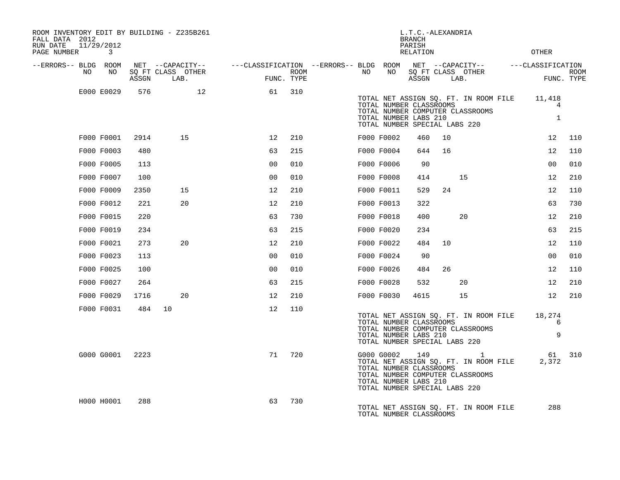| ROOM INVENTORY EDIT BY BUILDING - Z235B261<br>FALL DATA 2012<br>RUN DATE<br>PAGE NUMBER | 11/29/2012<br>3 |       |                                               |                                                         |                    |    |                                                                                                 | L.T.C.-ALEXANDRIA<br><b>BRANCH</b><br>PARISH<br><b>RELATION</b> |      |                                                                                             | <b>OTHER</b>                             |                    |
|-----------------------------------------------------------------------------------------|-----------------|-------|-----------------------------------------------|---------------------------------------------------------|--------------------|----|-------------------------------------------------------------------------------------------------|-----------------------------------------------------------------|------|---------------------------------------------------------------------------------------------|------------------------------------------|--------------------|
| --ERRORS-- BLDG ROOM<br>NO                                                              | NO              | ASSGN | NET --CAPACITY--<br>SQ FT CLASS OTHER<br>LAB. | ---CLASSIFICATION --ERRORS-- BLDG ROOM NET --CAPACITY-- | ROOM<br>FUNC. TYPE | NO | NO                                                                                              | ASSGN                                                           | LAB. | SQ FT CLASS OTHER                                                                           | ---CLASSIFICATION                        | ROOM<br>FUNC. TYPE |
|                                                                                         | E000 E0029      | 576   | 12                                            | 61                                                      | 310                |    | TOTAL NUMBER CLASSROOMS<br>TOTAL NUMBER LABS 210<br>TOTAL NUMBER SPECIAL LABS 220               |                                                                 |      | TOTAL NET ASSIGN SQ. FT. IN ROOM FILE<br>TOTAL NUMBER COMPUTER CLASSROOMS                   | 11,418<br>$\overline{4}$<br>$\mathbf{1}$ |                    |
|                                                                                         | F000 F0001      | 2914  | 15                                            | 12                                                      | 210                |    | F000 F0002                                                                                      | 460                                                             | 10   |                                                                                             | 12                                       | 110                |
|                                                                                         | F000 F0003      | 480   |                                               | 63                                                      | 215                |    | F000 F0004                                                                                      | 644                                                             | 16   |                                                                                             | 12                                       | 110                |
|                                                                                         | F000 F0005      | 113   |                                               | 0 <sub>0</sub>                                          | 010                |    | F000 F0006                                                                                      | 90                                                              |      |                                                                                             | 00                                       | 010                |
|                                                                                         | F000 F0007      | 100   |                                               | 0 <sub>0</sub>                                          | 010                |    | F000 F0008                                                                                      | 414                                                             |      | 15                                                                                          | 12                                       | 210                |
|                                                                                         | F000 F0009      | 2350  | 15                                            | 12                                                      | 210                |    | F000 F0011                                                                                      | 529                                                             | 24   |                                                                                             | 12                                       | 110                |
|                                                                                         | F000 F0012      | 221   | 20                                            | 12                                                      | 210                |    | F000 F0013                                                                                      | 322                                                             |      |                                                                                             | 63                                       | 730                |
|                                                                                         | F000 F0015      | 220   |                                               | 63                                                      | 730                |    | F000 F0018                                                                                      | 400                                                             |      | 20                                                                                          | 12                                       | 210                |
|                                                                                         | F000 F0019      | 234   |                                               | 63                                                      | 215                |    | F000 F0020                                                                                      | 234                                                             |      |                                                                                             | 63                                       | 215                |
|                                                                                         | F000 F0021      | 273   | 20                                            | 12                                                      | 210                |    | F000 F0022                                                                                      | 484                                                             | 10   |                                                                                             | 12                                       | 110                |
|                                                                                         | F000 F0023      | 113   |                                               | 0 <sub>0</sub>                                          | 010                |    | F000 F0024                                                                                      | 90                                                              |      |                                                                                             | 0 <sub>0</sub>                           | 010                |
|                                                                                         | F000 F0025      | 100   |                                               | 0 <sub>0</sub>                                          | 010                |    | F000 F0026                                                                                      | 484                                                             | 26   |                                                                                             | 12                                       | 110                |
|                                                                                         | F000 F0027      | 264   |                                               | 63                                                      | 215                |    | F000 F0028                                                                                      | 532                                                             |      | 20                                                                                          | 12                                       | 210                |
|                                                                                         | F000 F0029      | 1716  | 20                                            | 12                                                      | 210                |    | F000 F0030                                                                                      | 4615                                                            |      | 15                                                                                          | 12                                       | 210                |
|                                                                                         | F000 F0031      |       | 484 10                                        | 12                                                      | 110                |    | TOTAL NUMBER CLASSROOMS<br>TOTAL NUMBER LABS 210<br>TOTAL NUMBER SPECIAL LABS 220               |                                                                 |      | TOTAL NET ASSIGN SQ. FT. IN ROOM FILE<br>TOTAL NUMBER COMPUTER CLASSROOMS                   | 18,274<br>6<br>9                         |                    |
|                                                                                         | G000 G0001      | 2223  |                                               | 71                                                      | 720                |    | G000 G0002<br>TOTAL NUMBER CLASSROOMS<br>TOTAL NUMBER LABS 210<br>TOTAL NUMBER SPECIAL LABS 220 | 149                                                             |      | $\overline{1}$<br>TOTAL NET ASSIGN SQ. FT. IN ROOM FILE<br>TOTAL NUMBER COMPUTER CLASSROOMS | 61<br>2,372                              | 310                |
|                                                                                         | H000 H0001      | 288   |                                               | 63                                                      | 730                |    | TOTAL NUMBER CLASSROOMS                                                                         |                                                                 |      | TOTAL NET ASSIGN SQ. FT. IN ROOM FILE                                                       | 288                                      |                    |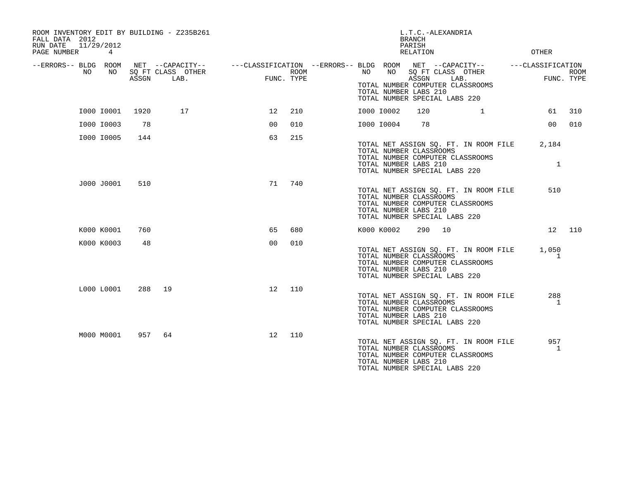| ROOM INVENTORY EDIT BY BUILDING - Z235B261<br>FALL DATA 2012<br>11/29/2012<br>RUN DATE<br>PAGE NUMBER<br>4 |       |                                                                                                          |                 |                    |            |    | L.T.C.-ALEXANDRIA<br><b>BRANCH</b><br>PARISH<br>RELATION                          |                                                                           | OTHER                           |             |
|------------------------------------------------------------------------------------------------------------|-------|----------------------------------------------------------------------------------------------------------|-----------------|--------------------|------------|----|-----------------------------------------------------------------------------------|---------------------------------------------------------------------------|---------------------------------|-------------|
| --ERRORS-- BLDG ROOM<br>NO<br>NO.                                                                          | ASSGN | NET --CAPACITY--    ---CLASSIFICATION --ERRORS-- BLDG ROOM NET --CAPACITY--<br>SQ FT CLASS OTHER<br>LAB. |                 | ROOM<br>FUNC. TYPE | NO         | NO | ASSGN<br>TOTAL NUMBER LABS 210<br>TOTAL NUMBER SPECIAL LABS 220                   | SQ FT CLASS OTHER<br>LAB.<br>TOTAL NUMBER COMPUTER CLASSROOMS             | ---CLASSIFICATION<br>FUNC. TYPE | <b>ROOM</b> |
| I000 I0001                                                                                                 | 1920  | 17                                                                                                       | 12 <sup>°</sup> | 210                | I000 I0002 |    | 120                                                                               | $\mathbf{1}$                                                              | 61                              | 310         |
| I000 I0003                                                                                                 | 78    |                                                                                                          | 00              | 010                | I000 I0004 |    | 78                                                                                |                                                                           | 00                              | 010         |
| I000 I0005                                                                                                 | 144   |                                                                                                          | 63              | 215                |            |    | TOTAL NUMBER CLASSROOMS<br>TOTAL NUMBER LABS 210<br>TOTAL NUMBER SPECIAL LABS 220 | TOTAL NET ASSIGN SQ. FT. IN ROOM FILE<br>TOTAL NUMBER COMPUTER CLASSROOMS | 2,184<br>$\mathbf{1}$           |             |
| J000 J0001                                                                                                 | 510   |                                                                                                          | 71              | 740                |            |    | TOTAL NUMBER CLASSROOMS<br>TOTAL NUMBER LABS 210<br>TOTAL NUMBER SPECIAL LABS 220 | TOTAL NET ASSIGN SQ. FT. IN ROOM FILE<br>TOTAL NUMBER COMPUTER CLASSROOMS | 510                             |             |
| K000 K0001                                                                                                 | 760   |                                                                                                          | 65              | 680                | K000 K0002 |    | 290<br>10                                                                         |                                                                           | 12                              | 110         |
| K000 K0003                                                                                                 | 48    |                                                                                                          | 0 <sup>0</sup>  | 010                |            |    | TOTAL NUMBER CLASSROOMS<br>TOTAL NUMBER LABS 210<br>TOTAL NUMBER SPECIAL LABS 220 | TOTAL NET ASSIGN SQ. FT. IN ROOM FILE<br>TOTAL NUMBER COMPUTER CLASSROOMS | 1,050<br>1                      |             |
| L000 L0001                                                                                                 | 288   | 19                                                                                                       | 12 <sup>°</sup> | 110                |            |    | TOTAL NUMBER CLASSROOMS<br>TOTAL NUMBER LABS 210<br>TOTAL NUMBER SPECIAL LABS 220 | TOTAL NET ASSIGN SQ. FT. IN ROOM FILE<br>TOTAL NUMBER COMPUTER CLASSROOMS | 288<br>1                        |             |
| M000 M0001                                                                                                 | 957   | 64                                                                                                       | 12 <sup>°</sup> | 110                |            |    | TOTAL NUMBER CLASSROOMS<br>TOTAL NUMBER LABS 210<br>TOTAL NUMBER SPECIAL LABS 220 | TOTAL NET ASSIGN SQ. FT. IN ROOM FILE<br>TOTAL NUMBER COMPUTER CLASSROOMS | 957<br>1                        |             |